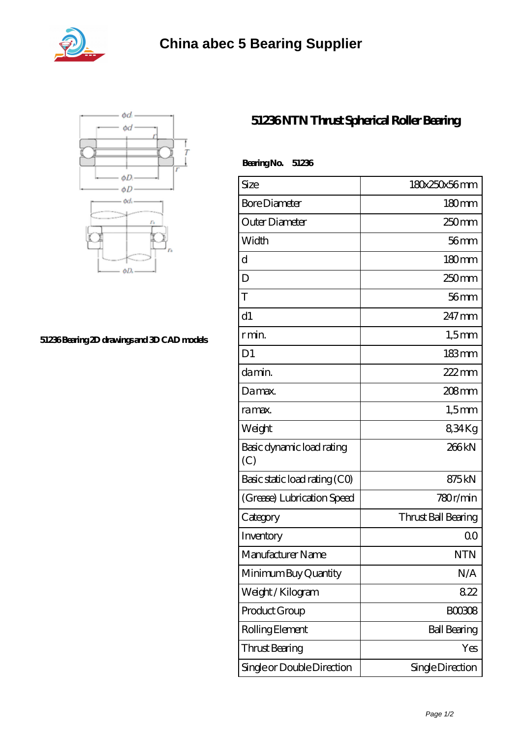



## **[51236 Bearing 2D drawings and 3D CAD models](https://abtrio.com/pic-1075478.html)**

## **[51236 NTN Thrust Spherical Roller Bearing](https://abtrio.com/cylindrical-roller-bearing/51236.html)**

| BearingNo.<br>51236              |                     |
|----------------------------------|---------------------|
| Size                             | 180x250x56mm        |
| <b>Bore Diameter</b>             | 180mm               |
| Outer Diameter                   | 250mm               |
| Width                            | $56$ mm             |
| d                                | 180 <sub>mm</sub>   |
| D                                | 250 <sub>mm</sub>   |
| T                                | $56$ mm             |
| d1                               | 247 mm              |
| r min.                           | $1,5$ mm            |
| D <sub>1</sub>                   | $183 \text{mm}$     |
| da min.                          | $222$ mm            |
| Da max.                          | 208 <sub>mm</sub>   |
| ra max.                          | $1,5$ mm            |
| Weight                           | 834Kg               |
| Basic dynamic load rating<br>(C) | 266kN               |
| Basic static load rating (CO)    | 875kN               |
| (Grease) Lubrication Speed       | 780r/min            |
| Category                         | Thrust Ball Bearing |
| Inventory                        | 0 <sup>0</sup>      |
| Manufacturer Name                | <b>NTN</b>          |
| Minimum Buy Quantity             | N/A                 |
| Weight/Kilogram                  | 822                 |
| Product Group                    | <b>BOO3O8</b>       |
| Rolling Element                  | <b>Ball Bearing</b> |
| <b>Thrust Bearing</b>            | Yes                 |
| Single or Double Direction       | Single Direction    |